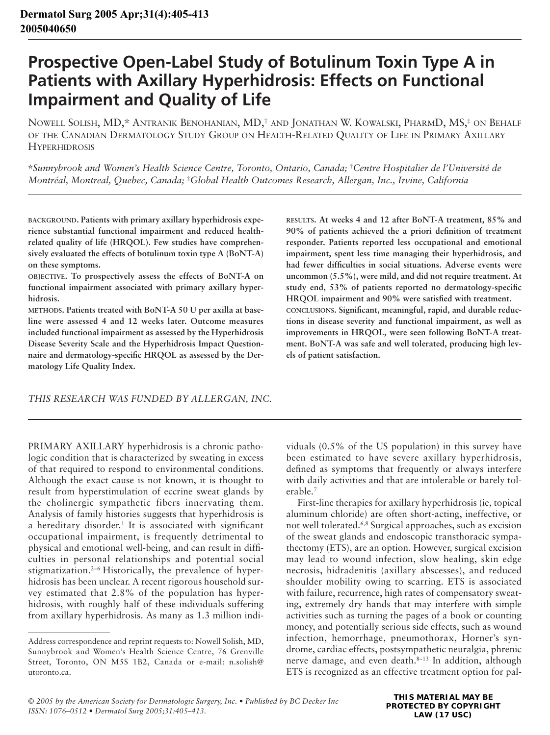# **Prospective Open-Label Study of Botulinum Toxin Type A in Patients with Axillary Hyperhidrosis: Effects on Functional Impairment and Quality of Life**

NOWELL SOLISH, MD,\* ANTRANIK BENOHANIAN, MD,† AND JONATHAN W. KOWALSKI, PHARMD, MS,‡ ON BEHALF OF THE CANADIAN DERMATOLOGY STUDY GROUP ON HEALTH-RELATED QUALITY OF LIFE IN PRIMARY AXILLARY **HYPERHIDROSIS** 

\**Sunnybrook and Women's Health Science Centre, Toronto, Ontario, Canada;* †*Centre Hospitalier de l'Université de Montréal, Montreal, Quebec, Canada;* <sup>†</sup>*Global Health Outcomes Research, Allergan, Inc., Irvine, California* 

**BACKGROUND. Patients with primary axillary hyperhidrosis experience substantial functional impairment and reduced healthrelated quality of life (HRQOL). Few studies have comprehensively evaluated the effects of botulinum toxin type A (BoNT-A) on these symptoms.**

**OBJECTIVE. To prospectively assess the effects of BoNT-A on functional impairment associated with primary axillary hyperhidrosis.**

**METHODS. Patients treated with BoNT-A 50 U per axilla at baseline were assessed 4 and 12 weeks later. Outcome measures included functional impairment as assessed by the Hyperhidrosis Disease Severity Scale and the Hyperhidrosis Impact Questionnaire and dermatology-specific HRQOL as assessed by the Dermatology Life Quality Index.**

*THIS RESEARCH WAS FUNDED BY ALLERGAN, INC.*

PRIMARY AXILLARY hyperhidrosis is a chronic pathologic condition that is characterized by sweating in excess of that required to respond to environmental conditions. Although the exact cause is not known, it is thought to result from hyperstimulation of eccrine sweat glands by the cholinergic sympathetic fibers innervating them. Analysis of family histories suggests that hyperhidrosis is a hereditary disorder.<sup>1</sup> It is associated with significant occupational impairment, is frequently detrimental to physical and emotional well-being, and can result in difficulties in personal relationships and potential social stigmatization.<sup>2–6</sup> Historically, the prevalence of hyperhidrosis has been unclear. A recent rigorous household survey estimated that 2.8% of the population has hyperhidrosis, with roughly half of these individuals suffering from axillary hyperhidrosis. As many as 1.3 million indi**RESULTS. At weeks 4 and 12 after BoNT-A treatment, 85% and 90% of patients achieved the a priori definition of treatment responder. Patients reported less occupational and emotional impairment, spent less time managing their hyperhidrosis, and had fewer difficulties in social situations. Adverse events were uncommon (5.5%), were mild, and did not require treatment. At study end, 53% of patients reported no dermatology-specific HRQOL impairment and 90% were satisfied with treatment. CONCLUSIONS. Significant, meaningful, rapid, and durable reductions in disease severity and functional impairment, as well as improvements in HRQOL, were seen following BoNT-A treatment. BoNT-A was safe and well tolerated, producing high levels of patient satisfaction.**

viduals (0.5% of the US population) in this survey have been estimated to have severe axillary hyperhidrosis, defined as symptoms that frequently or always interfere with daily activities and that are intolerable or barely tolerable.7

First-line therapies for axillary hyperhidrosis (ie, topical aluminum chloride) are often short-acting, ineffective, or not well tolerated.6,8 Surgical approaches, such as excision of the sweat glands and endoscopic transthoracic sympathectomy (ETS), are an option. However, surgical excision may lead to wound infection, slow healing, skin edge necrosis, hidradenitis (axillary abscesses), and reduced shoulder mobility owing to scarring. ETS is associated with failure, recurrence, high rates of compensatory sweating, extremely dry hands that may interfere with simple activities such as turning the pages of a book or counting money, and potentially serious side effects, such as wound infection, hemorrhage, pneumothorax, Horner's syndrome, cardiac effects, postsympathetic neuralgia, phrenic nerve damage, and even death.<sup>8-13</sup> In addition, although ETS is recognized as an effective treatment option for pal-

**THIS MATERIAL MAY BE PROTECTED BY COPYRIGHT LAW (17 USC)**

Address correspondence and reprint requests to: Nowell Solish, MD, Sunnybrook and Women's Health Science Centre, 76 Grenville Street, Toronto, ON M5S 1B2, Canada or e-mail: n.solish@ utoronto.ca.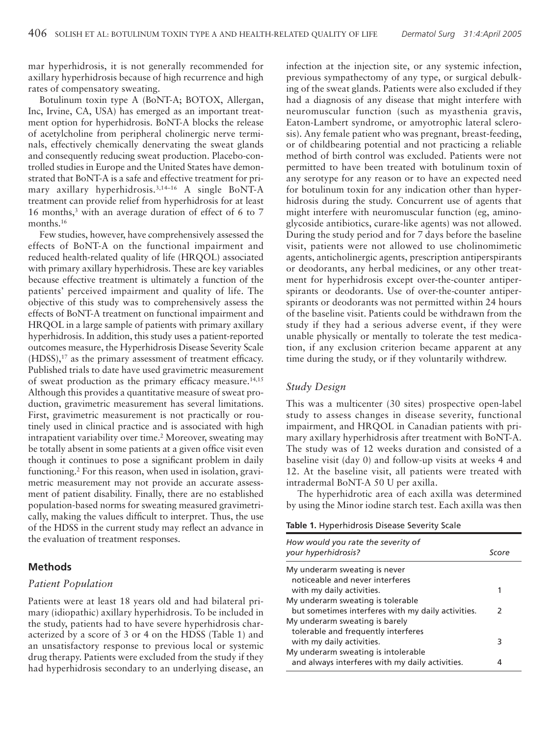mar hyperhidrosis, it is not generally recommended for axillary hyperhidrosis because of high recurrence and high rates of compensatory sweating.

Botulinum toxin type A (BoNT-A; BOTOX, Allergan, Inc, Irvine, CA, USA) has emerged as an important treatment option for hyperhidrosis. BoNT-A blocks the release of acetylcholine from peripheral cholinergic nerve terminals, effectively chemically denervating the sweat glands and consequently reducing sweat production. Placebo-controlled studies in Europe and the United States have demonstrated that BoNT-A is a safe and effective treatment for primary axillary hyperhidrosis.3,14–16 A single BoNT-A treatment can provide relief from hyperhidrosis for at least 16 months,<sup>3</sup> with an average duration of effect of 6 to 7 months.<sup>16</sup>

Few studies, however, have comprehensively assessed the effects of BoNT-A on the functional impairment and reduced health-related quality of life (HRQOL) associated with primary axillary hyperhidrosis. These are key variables because effective treatment is ultimately a function of the patients' perceived impairment and quality of life. The objective of this study was to comprehensively assess the effects of BoNT-A treatment on functional impairment and HRQOL in a large sample of patients with primary axillary hyperhidrosis. In addition, this study uses a patient-reported outcomes measure, the Hyperhidrosis Disease Severity Scale (HDSS),17 as the primary assessment of treatment efficacy. Published trials to date have used gravimetric measurement of sweat production as the primary efficacy measure.14,15 Although this provides a quantitative measure of sweat production, gravimetric measurement has several limitations. First, gravimetric measurement is not practically or routinely used in clinical practice and is associated with high intrapatient variability over time.<sup>2</sup> Moreover, sweating may be totally absent in some patients at a given office visit even though it continues to pose a significant problem in daily functioning.2 For this reason, when used in isolation, gravimetric measurement may not provide an accurate assessment of patient disability. Finally, there are no established population-based norms for sweating measured gravimetrically, making the values difficult to interpret. Thus, the use of the HDSS in the current study may reflect an advance in the evaluation of treatment responses.

# **Methods**

# *Patient Population*

Patients were at least 18 years old and had bilateral primary (idiopathic) axillary hyperhidrosis. To be included in the study, patients had to have severe hyperhidrosis characterized by a score of 3 or 4 on the HDSS (Table 1) and an unsatisfactory response to previous local or systemic drug therapy. Patients were excluded from the study if they had hyperhidrosis secondary to an underlying disease, an

infection at the injection site, or any systemic infection, previous sympathectomy of any type, or surgical debulking of the sweat glands. Patients were also excluded if they had a diagnosis of any disease that might interfere with neuromuscular function (such as myasthenia gravis, Eaton-Lambert syndrome, or amyotrophic lateral sclerosis). Any female patient who was pregnant, breast-feeding, or of childbearing potential and not practicing a reliable method of birth control was excluded. Patients were not permitted to have been treated with botulinum toxin of any serotype for any reason or to have an expected need for botulinum toxin for any indication other than hyperhidrosis during the study. Concurrent use of agents that might interfere with neuromuscular function (eg, aminoglycoside antibiotics, curare-like agents) was not allowed. During the study period and for 7 days before the baseline visit, patients were not allowed to use cholinomimetic agents, anticholinergic agents, prescription antiperspirants or deodorants, any herbal medicines, or any other treatment for hyperhidrosis except over-the-counter antiperspirants or deodorants. Use of over-the-counter antiperspirants or deodorants was not permitted within 24 hours of the baseline visit. Patients could be withdrawn from the study if they had a serious adverse event, if they were unable physically or mentally to tolerate the test medication, if any exclusion criterion became apparent at any time during the study, or if they voluntarily withdrew.

# *Study Design*

This was a multicenter (30 sites) prospective open-label study to assess changes in disease severity, functional impairment, and HRQOL in Canadian patients with primary axillary hyperhidrosis after treatment with BoNT-A. The study was of 12 weeks duration and consisted of a baseline visit (day 0) and follow-up visits at weeks 4 and 12. At the baseline visit, all patients were treated with intradermal BoNT-A 50 U per axilla.

The hyperhidrotic area of each axilla was determined by using the Minor iodine starch test. Each axilla was then

|  |  |  |  | Table 1. Hyperhidrosis Disease Severity Scale |
|--|--|--|--|-----------------------------------------------|
|--|--|--|--|-----------------------------------------------|

| How would you rate the severity of<br>your hyperhidrosis?        | Score |
|------------------------------------------------------------------|-------|
| My underarm sweating is never<br>noticeable and never interferes |       |
| with my daily activities.                                        | 1     |
| My underarm sweating is tolerable                                |       |
| but sometimes interferes with my daily activities.               | 2     |
| My underarm sweating is barely                                   |       |
| tolerable and frequently interferes                              |       |
| with my daily activities.                                        | 3     |
| My underarm sweating is intolerable                              |       |
| and always interferes with my daily activities.                  | 4     |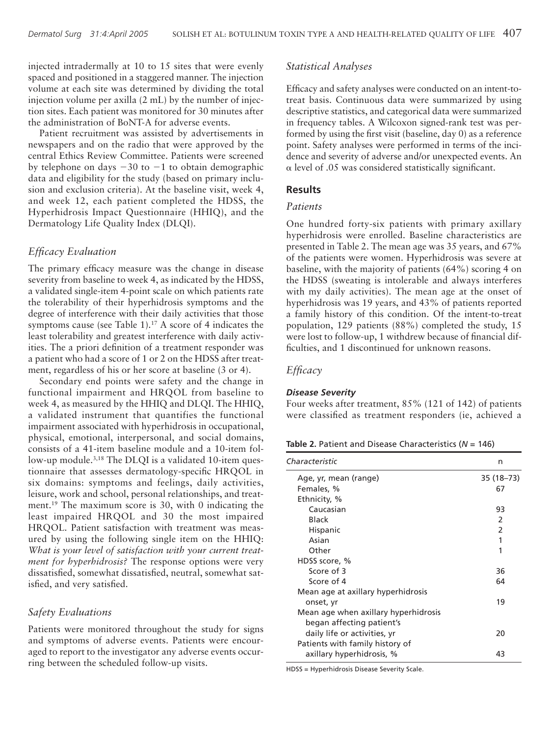injected intradermally at 10 to 15 sites that were evenly spaced and positioned in a staggered manner. The injection volume at each site was determined by dividing the total injection volume per axilla (2 mL) by the number of injection sites. Each patient was monitored for 30 minutes after the administration of BoNT-A for adverse events.

Patient recruitment was assisted by advertisements in newspapers and on the radio that were approved by the central Ethics Review Committee. Patients were screened by telephone on days  $-30$  to  $-1$  to obtain demographic data and eligibility for the study (based on primary inclusion and exclusion criteria). At the baseline visit, week 4, and week 12, each patient completed the HDSS, the Hyperhidrosis Impact Questionnaire (HHIQ), and the Dermatology Life Quality Index (DLQI).

# *Efficacy Evaluation*

The primary efficacy measure was the change in disease severity from baseline to week 4, as indicated by the HDSS, a validated single-item 4-point scale on which patients rate the tolerability of their hyperhidrosis symptoms and the degree of interference with their daily activities that those symptoms cause (see Table 1).<sup>17</sup> A score of 4 indicates the least tolerability and greatest interference with daily activities. The a priori definition of a treatment responder was a patient who had a score of 1 or 2 on the HDSS after treatment, regardless of his or her score at baseline (3 or 4).

Secondary end points were safety and the change in functional impairment and HRQOL from baseline to week 4, as measured by the HHIQ and DLQI. The HHIQ, a validated instrument that quantifies the functional impairment associated with hyperhidrosis in occupational, physical, emotional, interpersonal, and social domains, consists of a 41-item baseline module and a 10-item follow-up module.3,18 The DLQI is a validated 10-item questionnaire that assesses dermatology-specific HRQOL in six domains: symptoms and feelings, daily activities, leisure, work and school, personal relationships, and treatment.19 The maximum score is 30, with 0 indicating the least impaired HRQOL and 30 the most impaired HRQOL. Patient satisfaction with treatment was measured by using the following single item on the HHIQ: *What is your level of satisfaction with your current treatment for hyperhidrosis?* The response options were very dissatisfied, somewhat dissatisfied, neutral, somewhat satisfied, and very satisfied.

# *Safety Evaluations*

Patients were monitored throughout the study for signs and symptoms of adverse events. Patients were encouraged to report to the investigator any adverse events occurring between the scheduled follow-up visits.

# *Statistical Analyses*

Efficacy and safety analyses were conducted on an intent-totreat basis. Continuous data were summarized by using descriptive statistics, and categorical data were summarized in frequency tables. A Wilcoxon signed-rank test was performed by using the first visit (baseline, day 0) as a reference point. Safety analyses were performed in terms of the incidence and severity of adverse and/or unexpected events. An  $\alpha$  level of .05 was considered statistically significant.

## **Results**

## *Patients*

One hundred forty-six patients with primary axillary hyperhidrosis were enrolled. Baseline characteristics are presented in Table 2. The mean age was 35 years, and 67% of the patients were women. Hyperhidrosis was severe at baseline, with the majority of patients (64%) scoring 4 on the HDSS (sweating is intolerable and always interferes with my daily activities). The mean age at the onset of hyperhidrosis was 19 years, and 43% of patients reported a family history of this condition. Of the intent-to-treat population, 129 patients (88%) completed the study, 15 were lost to follow-up, 1 withdrew because of financial difficulties, and 1 discontinued for unknown reasons.

# *Efficacy*

## *Disease Severity*

Four weeks after treatment, 85% (121 of 142) of patients were classified as treatment responders (ie, achieved a

|  |  |  |  | Table 2. Patient and Disease Characteristics (N = 146) |  |  |
|--|--|--|--|--------------------------------------------------------|--|--|
|--|--|--|--|--------------------------------------------------------|--|--|

| Characteristic                       | n              |
|--------------------------------------|----------------|
| Age, yr, mean (range)                | 35 (18–73)     |
| Females, %                           | 67             |
| Ethnicity, %                         |                |
| Caucasian                            | 93             |
| Black                                | 2              |
| Hispanic                             | $\overline{2}$ |
| Asian                                | 1              |
| Other                                | 1              |
| HDSS score, %                        |                |
| Score of 3                           | 36             |
| Score of 4                           | 64             |
| Mean age at axillary hyperhidrosis   |                |
| onset, yr                            | 19             |
| Mean age when axillary hyperhidrosis |                |
| began affecting patient's            |                |
| daily life or activities, yr         | 20             |
| Patients with family history of      |                |
| axillary hyperhidrosis, %            | 43             |

HDSS = Hyperhidrosis Disease Severity Scale.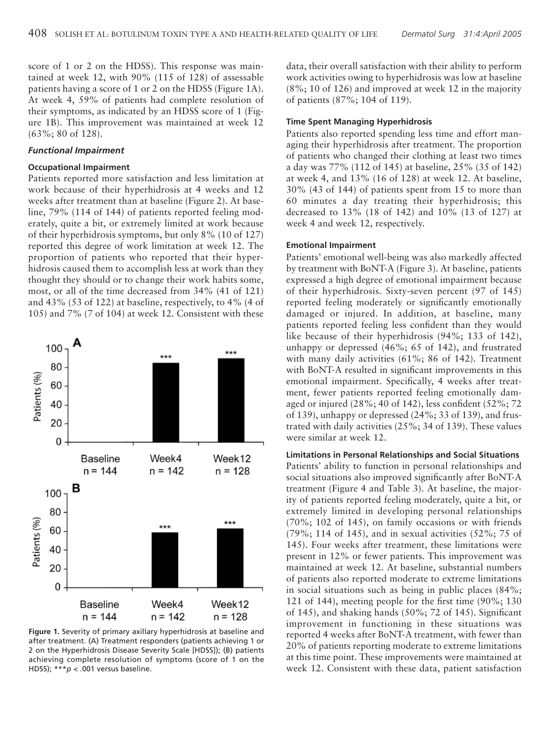score of 1 or 2 on the HDSS). This response was maintained at week 12, with 90% (115 of 128) of assessable patients having a score of 1 or 2 on the HDSS (Figure 1A). At week 4, 59% of patients had complete resolution of their symptoms, as indicated by an HDSS score of 1 (Figure 1B). This improvement was maintained at week 12 (63%; 80 of 128).

## *Functional Impairment*

#### **Occupational Impairment**

Patients reported more satisfaction and less limitation at work because of their hyperhidrosis at 4 weeks and 12 weeks after treatment than at baseline (Figure 2). At baseline, 79% (114 of 144) of patients reported feeling moderately, quite a bit, or extremely limited at work because of their hyperhidrosis symptoms, but only 8% (10 of 127) reported this degree of work limitation at week 12. The proportion of patients who reported that their hyperhidrosis caused them to accomplish less at work than they thought they should or to change their work habits some, most, or all of the time decreased from 34% (41 of 121) and 43% (53 of 122) at baseline, respectively, to 4% (4 of 105) and 7% (7 of 104) at week 12. Consistent with these



**Figure 1.** Severity of primary axillary hyperhidrosis at baseline and after treatment. (A) Treatment responders (patients achieving 1 or 2 on the Hyperhidrosis Disease Severity Scale [HDSS]); (B) patients achieving complete resolution of symptoms (score of 1 on the HDSS); \*\*\**p <* .001 versus baseline.

data, their overall satisfaction with their ability to perform work activities owing to hyperhidrosis was low at baseline (8%; 10 of 126) and improved at week 12 in the majority of patients (87%; 104 of 119).

# **Time Spent Managing Hyperhidrosis**

Patients also reported spending less time and effort managing their hyperhidrosis after treatment. The proportion of patients who changed their clothing at least two times a day was 77% (112 of 145) at baseline, 25% (35 of 142) at week 4, and 13% (16 of 128) at week 12. At baseline, 30% (43 of 144) of patients spent from 15 to more than 60 minutes a day treating their hyperhidrosis; this decreased to 13% (18 of 142) and 10% (13 of 127) at week 4 and week 12, respectively.

#### **Emotional Impairment**

Patients' emotional well-being was also markedly affected by treatment with BoNT-A (Figure 3). At baseline, patients expressed a high degree of emotional impairment because of their hyperhidrosis. Sixty-seven percent (97 of 145) reported feeling moderately or significantly emotionally damaged or injured. In addition, at baseline, many patients reported feeling less confident than they would like because of their hyperhidrosis (94%; 133 of 142), unhappy or depressed (46%; 65 of 142), and frustrated with many daily activities (61%; 86 of 142). Treatment with BoNT-A resulted in significant improvements in this emotional impairment. Specifically, 4 weeks after treatment, fewer patients reported feeling emotionally damaged or injured (28%; 40 of 142), less confident (52%; 72 of 139), unhappy or depressed (24%; 33 of 139), and frustrated with daily activities (25%; 34 of 139). These values were similar at week 12.

## **Limitations in Personal Relationships and Social Situations**

Patients' ability to function in personal relationships and social situations also improved significantly after BoNT-A treatment (Figure 4 and Table 3). At baseline, the majority of patients reported feeling moderately, quite a bit, or extremely limited in developing personal relationships (70%; 102 of 145), on family occasions or with friends (79%; 114 of 145), and in sexual activities (52%; 75 of 145). Four weeks after treatment, these limitations were present in 12% or fewer patients. This improvement was maintained at week 12. At baseline, substantial numbers of patients also reported moderate to extreme limitations in social situations such as being in public places (84%; 121 of 144), meeting people for the first time (90%; 130 of 145), and shaking hands (50%; 72 of 145). Significant improvement in functioning in these situations was reported 4 weeks after BoNT-A treatment, with fewer than 20% of patients reporting moderate to extreme limitations at this time point. These improvements were maintained at week 12. Consistent with these data, patient satisfaction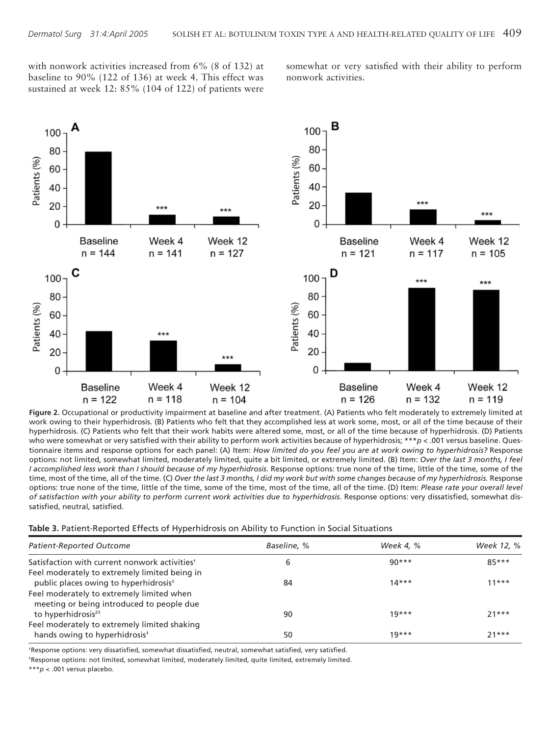with nonwork activities increased from 6% (8 of 132) at baseline to 90% (122 of 136) at week 4. This effect was sustained at week 12: 85% (104 of 122) of patients were

somewhat or very satisfied with their ability to perform nonwork activities.



**Figure 2.** Occupational or productivity impairment at baseline and after treatment. (A) Patients who felt moderately to extremely limited at work owing to their hyperhidrosis. (B) Patients who felt that they accomplished less at work some, most, or all of the time because of their hyperhidrosis. (C) Patients who felt that their work habits were altered some, most, or all of the time because of hyperhidrosis. (D) Patients who were somewhat or very satisfied with their ability to perform work activities because of hyperhidrosis; \*\**p* < .001 versus baseline. Questionnaire items and response options for each panel: (A) Item: *How limited do you feel you are at work owing to hyperhidrosis?* Response options: not limited, somewhat limited, moderately limited, quite a bit limited, or extremely limited. (B) Item: *Over the last 3 months, I feel I accomplished less work than I should because of my hyperhidrosis*. Response options: true none of the time, little of the time, some of the time, most of the time, all of the time. (C) *Over the last 3 months, I did my work but with some changes because of my hyperhidrosis.* Response options: true none of the time, little of the time, some of the time, most of the time, all of the time. (D) Item: *Please rate your overall level of satisfaction with your ability to perform current work activities due to hyperhidrosis*. Response options: very dissatisfied, somewhat dissatisfied, neutral, satisfied.

#### **Table 3.** Patient-Reported Effects of Hyperhidrosis on Ability to Function in Social Situations

| <b>Patient-Reported Outcome</b>                                                        | Baseline, % | Week 4, % | Week 12, % |
|----------------------------------------------------------------------------------------|-------------|-----------|------------|
| Satisfaction with current nonwork activities <sup>+</sup>                              |             | $90***$   | $85***$    |
| Feel moderately to extremely limited being in                                          |             |           |            |
| public places owing to hyperhidrosis <sup>#</sup>                                      | 84          | $14***$   | $11***$    |
| Feel moderately to extremely limited when<br>meeting or being introduced to people due |             |           |            |
| to hyperhidrosis $2^{\ddagger}$                                                        | 90          | $19***$   | $71***$    |
| Feel moderately to extremely limited shaking                                           |             |           |            |
| hands owing to hyperhidrosis <sup>#</sup>                                              | 50          | $19***$   | $71***$    |

†Response options: very dissatisfied, somewhat dissatisfied, neutral, somewhat satisfied, very satisfied.

‡Response options: not limited, somewhat limited, moderately limited, quite limited, extremely limited.

\*\*\**p* < .001 versus placebo.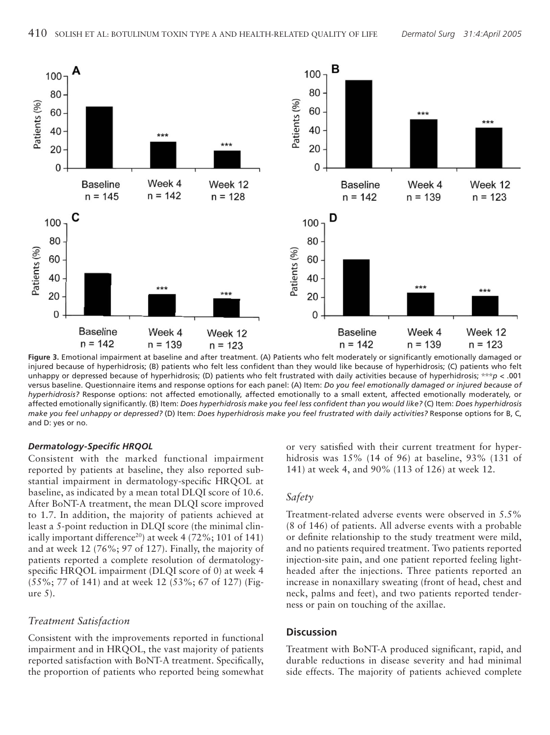

**Figure 3.** Emotional impairment at baseline and after treatment. (A) Patients who felt moderately or significantly emotionally damaged or injured because of hyperhidrosis; (B) patients who felt less confident than they would like because of hyperhidrosis; (C) patients who felt unhappy or depressed because of hyperhidrosis; (D) patients who felt frustrated with daily activities because of hyperhidrosis; \*\*\**p* < .001 versus baseline. Questionnaire items and response options for each panel: (A) Item: *Do you feel emotionally damaged or injured because of hyperhidrosis?* Response options: not affected emotionally, affected emotionally to a small extent, affected emotionally moderately, or affected emotionally significantly. (B) Item: *Does hyperhidrosis make you feel less confident than you would like?* (C) Item: *Does hyperhidrosis make you feel unhappy or depressed?* (D) Item: *Does hyperhidrosis make you feel frustrated with daily activities?* Response options for B, C, and D: yes or no.

## *Dermatology-Specific HRQOL*

Consistent with the marked functional impairment reported by patients at baseline, they also reported substantial impairment in dermatology-specific HRQOL at baseline, as indicated by a mean total DLQI score of 10.6. After BoNT-A treatment, the mean DLQI score improved to 1.7. In addition, the majority of patients achieved at least a 5-point reduction in DLQI score (the minimal clinically important difference<sup>20</sup>) at week 4 (72%; 101 of 141) and at week 12 (76%; 97 of 127). Finally, the majority of patients reported a complete resolution of dermatologyspecific HRQOL impairment (DLQI score of 0) at week 4 (55%; 77 of 141) and at week 12 (53%; 67 of 127) (Figure 5).

## *Treatment Satisfaction*

Consistent with the improvements reported in functional impairment and in HRQOL, the vast majority of patients reported satisfaction with BoNT-A treatment. Specifically, the proportion of patients who reported being somewhat or very satisfied with their current treatment for hyperhidrosis was 15% (14 of 96) at baseline, 93% (131 of 141) at week 4, and 90% (113 of 126) at week 12.

# *Safety*

Treatment-related adverse events were observed in 5.5% (8 of 146) of patients. All adverse events with a probable or definite relationship to the study treatment were mild, and no patients required treatment. Two patients reported injection-site pain, and one patient reported feeling lightheaded after the injections. Three patients reported an increase in nonaxillary sweating (front of head, chest and neck, palms and feet), and two patients reported tenderness or pain on touching of the axillae.

## **Discussion**

Treatment with BoNT-A produced significant, rapid, and durable reductions in disease severity and had minimal side effects. The majority of patients achieved complete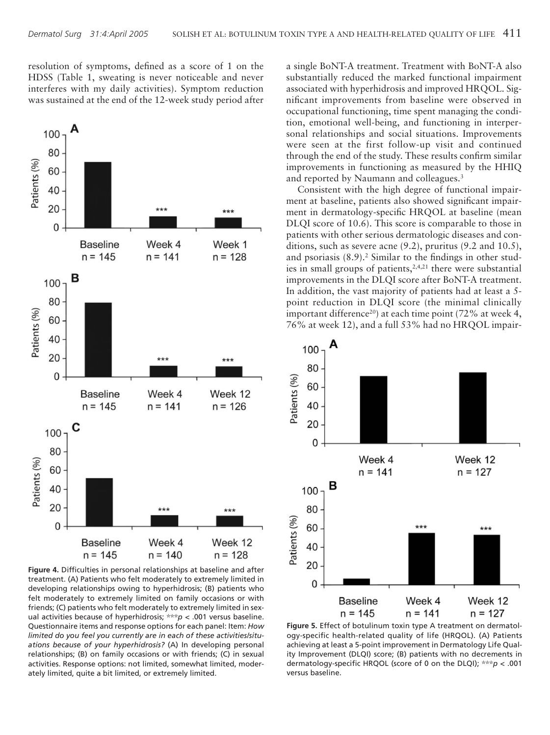resolution of symptoms, defined as a score of 1 on the HDSS (Table 1, sweating is never noticeable and never interferes with my daily activities). Symptom reduction was sustained at the end of the 12-week study period after



**Figure 4.** Difficulties in personal relationships at baseline and after treatment. (A) Patients who felt moderately to extremely limited in developing relationships owing to hyperhidrosis; (B) patients who felt moderately to extremely limited on family occasions or with friends; (C) patients who felt moderately to extremely limited in sexual activities because of hyperhidrosis; \*\*\**p* < .001 versus baseline. Questionnaire items and response options for each panel: Item: *How limited do you feel you currently are in each of these activities/situations because of your hyperhidrosis?* (A) In developing personal relationships; (B) on family occasions or with friends; (C) in sexual activities. Response options: not limited, somewhat limited, moderately limited, quite a bit limited, or extremely limited.

a single BoNT-A treatment. Treatment with BoNT-A also substantially reduced the marked functional impairment associated with hyperhidrosis and improved HRQOL. Significant improvements from baseline were observed in occupational functioning, time spent managing the condition, emotional well-being, and functioning in interpersonal relationships and social situations. Improvements were seen at the first follow-up visit and continued through the end of the study. These results confirm similar improvements in functioning as measured by the HHIQ and reported by Naumann and colleagues.3

Consistent with the high degree of functional impairment at baseline, patients also showed significant impairment in dermatology-specific HRQOL at baseline (mean DLQI score of 10.6). This score is comparable to those in patients with other serious dermatologic diseases and conditions, such as severe acne (9.2), pruritus (9.2 and 10.5), and psoriasis (8.9).2 Similar to the findings in other studies in small groups of patients, $2,4,21$  there were substantial improvements in the DLQI score after BoNT-A treatment. In addition, the vast majority of patients had at least a 5 point reduction in DLQI score (the minimal clinically important difference<sup>20</sup>) at each time point (72% at week 4, 76% at week 12), and a full 53% had no HRQOL impair-



**Figure 5.** Effect of botulinum toxin type A treatment on dermatology-specific health-related quality of life (HRQOL). (A) Patients achieving at least a 5-point improvement in Dermatology Life Quality Improvement (DLQI) score; (B) patients with no decrements in dermatology-specific HRQOL (score of 0 on the DLQI); \*\*\**p* < .001 versus baseline.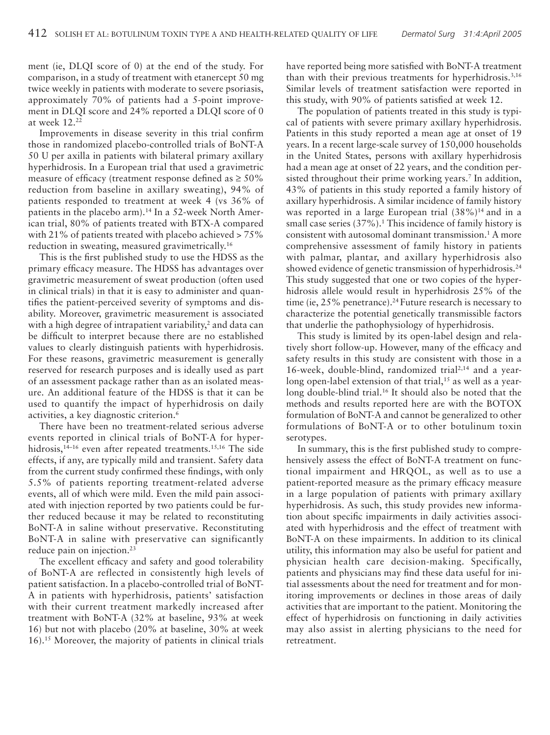ment (ie, DLQI score of 0) at the end of the study. For comparison, in a study of treatment with etanercept 50 mg twice weekly in patients with moderate to severe psoriasis, approximately 70% of patients had a 5-point improvement in DLQI score and 24% reported a DLQI score of 0 at week 12.22

Improvements in disease severity in this trial confirm those in randomized placebo-controlled trials of BoNT-A 50 U per axilla in patients with bilateral primary axillary hyperhidrosis. In a European trial that used a gravimetric measure of efficacy (treatment response defined as  $\geq 50\%$ reduction from baseline in axillary sweating), 94% of patients responded to treatment at week 4 (vs 36% of patients in the placebo arm).<sup>14</sup> In a 52-week North American trial, 80% of patients treated with BTX-A compared with 21% of patients treated with placebo achieved > 75% reduction in sweating, measured gravimetrically.16

This is the first published study to use the HDSS as the primary efficacy measure. The HDSS has advantages over gravimetric measurement of sweat production (often used in clinical trials) in that it is easy to administer and quantifies the patient-perceived severity of symptoms and disability. Moreover, gravimetric measurement is associated with a high degree of intrapatient variability,<sup>2</sup> and data can be difficult to interpret because there are no established values to clearly distinguish patients with hyperhidrosis. For these reasons, gravimetric measurement is generally reserved for research purposes and is ideally used as part of an assessment package rather than as an isolated measure. An additional feature of the HDSS is that it can be used to quantify the impact of hyperhidrosis on daily activities, a key diagnostic criterion.6

There have been no treatment-related serious adverse events reported in clinical trials of BoNT-A for hyperhidrosis,<sup>14-16</sup> even after repeated treatments.<sup>15,16</sup> The side effects, if any, are typically mild and transient. Safety data from the current study confirmed these findings, with only 5.5% of patients reporting treatment-related adverse events, all of which were mild. Even the mild pain associated with injection reported by two patients could be further reduced because it may be related to reconstituting BoNT-A in saline without preservative. Reconstituting BoNT-A in saline with preservative can significantly reduce pain on injection.<sup>23</sup>

The excellent efficacy and safety and good tolerability of BoNT-A are reflected in consistently high levels of patient satisfaction. In a placebo-controlled trial of BoNT-A in patients with hyperhidrosis, patients' satisfaction with their current treatment markedly increased after treatment with BoNT-A (32% at baseline, 93% at week 16) but not with placebo (20% at baseline, 30% at week 16).15 Moreover, the majority of patients in clinical trials have reported being more satisfied with BoNT-A treatment than with their previous treatments for hyperhidrosis.<sup>3,16</sup> Similar levels of treatment satisfaction were reported in this study, with 90% of patients satisfied at week 12.

The population of patients treated in this study is typical of patients with severe primary axillary hyperhidrosis. Patients in this study reported a mean age at onset of 19 years. In a recent large-scale survey of 150,000 households in the United States, persons with axillary hyperhidrosis had a mean age at onset of 22 years, and the condition persisted throughout their prime working years.<sup>7</sup> In addition, 43% of patients in this study reported a family history of axillary hyperhidrosis. A similar incidence of family history was reported in a large European trial  $(38\%)^{14}$  and in a small case series (37%).<sup>1</sup> This incidence of family history is consistent with autosomal dominant transmission.1 A more comprehensive assessment of family history in patients with palmar, plantar, and axillary hyperhidrosis also showed evidence of genetic transmission of hyperhidrosis.<sup>24</sup> This study suggested that one or two copies of the hyperhidrosis allele would result in hyperhidrosis 25% of the time (ie, 25% penetrance).<sup>24</sup> Future research is necessary to characterize the potential genetically transmissible factors that underlie the pathophysiology of hyperhidrosis.

This study is limited by its open-label design and relatively short follow-up. However, many of the efficacy and safety results in this study are consistent with those in a 16-week, double-blind, randomized trial2,14 and a yearlong open-label extension of that trial,<sup>15</sup> as well as a yearlong double-blind trial.<sup>16</sup> It should also be noted that the methods and results reported here are with the BOTOX formulation of BoNT-A and cannot be generalized to other formulations of BoNT-A or to other botulinum toxin serotypes.

In summary, this is the first published study to comprehensively assess the effect of BoNT-A treatment on functional impairment and HRQOL, as well as to use a patient-reported measure as the primary efficacy measure in a large population of patients with primary axillary hyperhidrosis. As such, this study provides new information about specific impairments in daily activities associated with hyperhidrosis and the effect of treatment with BoNT-A on these impairments. In addition to its clinical utility, this information may also be useful for patient and physician health care decision-making. Specifically, patients and physicians may find these data useful for initial assessments about the need for treatment and for monitoring improvements or declines in those areas of daily activities that are important to the patient. Monitoring the effect of hyperhidrosis on functioning in daily activities may also assist in alerting physicians to the need for retreatment.